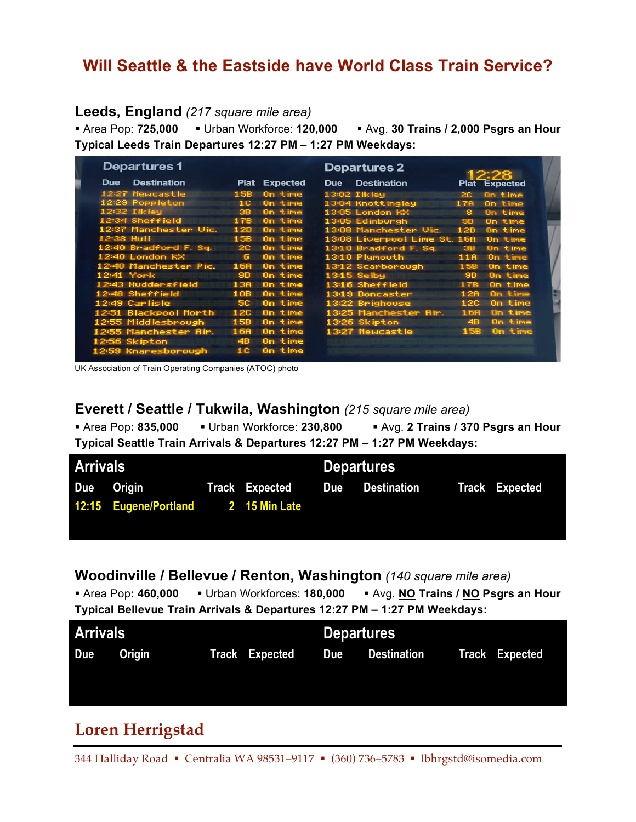### **Will Seattle & the Eastside have World Class Train Service?**

### **Leeds, England** *(217 square mile area)*

 Area Pop: **725,000** Urban Workforce: **120,000** Avg. **30 Trains / 2,000 Psgrs an Hour Typical Leeds Train Departures 12:27 PM – 1:27 PM Weekdays:**

| <b>Departures1</b>               |                      | <b>Departures 2</b>                                      |
|----------------------------------|----------------------|----------------------------------------------------------|
| <b>Destination</b><br><b>Due</b> | <b>Plat Expected</b> | <b>Destination</b><br><b>Due</b><br><b>Plat Expected</b> |
| 12:27 Newcastle                  | On time<br>15B       | $13:02$ Tikiey<br>On time<br>2C                          |
| 12:29 Poppleton                  | On time<br>1C        | 13:04 Knottingley<br>17A<br>On time                      |
| $12:32$ Ilkley                   | On time<br>38        | 13:05 London KX<br>8.<br>On time                         |
| 12:34 Sheffield                  | 17B<br>On time       | 13:05 Edinburgh<br>On time<br><b>9D</b>                  |
| 12:37 Manchester Vic.            | 12D<br>On time       | 13:08 Manchester Vic.<br>On time<br>12D                  |
| 12:38 Hull                       | On time<br>15B       | 13:08 Liverpool Lime St. 168<br>On time                  |
| 12:40 Bradford F. Sq.            | <b>20</b><br>On time | 13:10 Bradford F. Sq.<br>38.<br>On time                  |
| 12:40 London KX                  | 6.<br>On time        | 13:10 Plymouth<br>On time<br>11A                         |
| 12:40 Manchester Pic.            | On time<br>168       | 13:12 Scarborough<br>On time<br>15B                      |
| $12:41$ York                     | On time<br><b>SD</b> | 13:15 Selbu<br><b>SD</b><br>On time                      |
| 12:43 Huddersfield               | On time<br>13B       | 13:16 Sheffield<br>17B<br>On time                        |
| 12:48 Sheffield                  | On time<br>10B       | On time<br>13:19 Doncaster<br>12R                        |
| 12:49 Carlisle                   | 5C.<br>On time       | 13:22 Brighouse<br>On time<br>12C                        |
| 1251 Blackpool North             | 12C<br>On time       | 13:25 Manchester Air.<br>On time<br>168                  |
| 12:55 Middlesbrough              | On time<br>15B       | On time<br>13:26 Skipton<br>48                           |
| 12:55 Manchester Air.            | On time<br>16A       | On time<br>13:27 Newcastle<br>15B                        |
| 12:56 Skipton                    | On time<br>4B        |                                                          |
| 12:59 Knaresborough              | On time<br>10.       |                                                          |

UK Association of Train Operating Companies (ATOC) photo

#### **Everett / Seattle / Tukwila, Washington** *(215 square mile area)*

 Area Pop**: 835,000** Urban Workforce: **230,800** Avg. **2 Trains / 370 Psgrs an Hour Typical Seattle Train Arrivals & Departures 12:27 PM – 1:27 PM Weekdays:**

| <b>Arrivals</b> |                                     |  |                | <b>Departures</b> |                 |  |                       |
|-----------------|-------------------------------------|--|----------------|-------------------|-----------------|--|-----------------------|
|                 | Due Origin                          |  | Track Expected |                   | Due Destination |  | <b>Track Expected</b> |
|                 | 12:15 Eugene/Portland 2 15 Min Late |  |                |                   |                 |  |                       |
|                 |                                     |  |                |                   |                 |  |                       |

### **Woodinville / Bellevue / Renton, Washington** *(140 square mile area)*

 Area Pop**: 460,000** Urban Workforces: **180,000** Avg. **NO Trains / NO Psgrs an Hour Typical Bellevue Train Arrivals & Departures 12:27 PM – 1:27 PM Weekdays:**

| <b>Arrivals</b> |        |  | <b>Departures</b>     |     |             |  |                |
|-----------------|--------|--|-----------------------|-----|-------------|--|----------------|
| Due             | Origin |  | <b>Track Expected</b> | Due | Destination |  | Track Expected |
|                 |        |  |                       |     |             |  |                |

### **Loren Herrigstad**

344 Halliday Road • Centralia WA 98531-9117 • (360) 736-5783 • lbhrgstd@isomedia.com